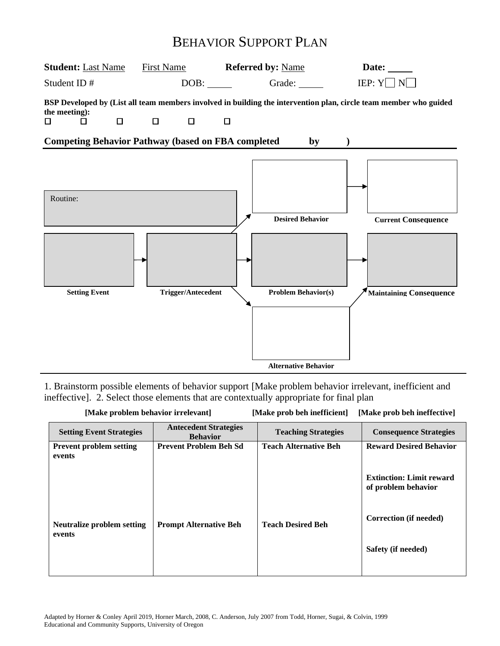# BEHAVIOR SUPPORT PLAN



1. Brainstorm possible elements of behavior support [Make problem behavior irrelevant, inefficient and ineffective]. 2. Select those elements that are contextually appropriate for final plan

| [Make problem behavior irrelevant]       |                                                 | [Make prob beh ineffective]<br>[Make prob beh inefficient] |                                                        |  |  |
|------------------------------------------|-------------------------------------------------|------------------------------------------------------------|--------------------------------------------------------|--|--|
| <b>Setting Event Strategies</b>          | <b>Antecedent Strategies</b><br><b>Behavior</b> | <b>Teaching Strategies</b>                                 | <b>Consequence Strategies</b>                          |  |  |
| <b>Prevent problem setting</b><br>events | <b>Prevent Problem Beh Sd</b>                   | <b>Teach Alternative Beh</b>                               | <b>Reward Desired Behavior</b>                         |  |  |
|                                          |                                                 |                                                            | <b>Extinction: Limit reward</b><br>of problem behavior |  |  |
| Neutralize problem setting<br>events     | <b>Prompt Alternative Beh</b>                   | <b>Teach Desired Beh</b>                                   | Correction (if needed)                                 |  |  |
|                                          |                                                 |                                                            | Safety (if needed)                                     |  |  |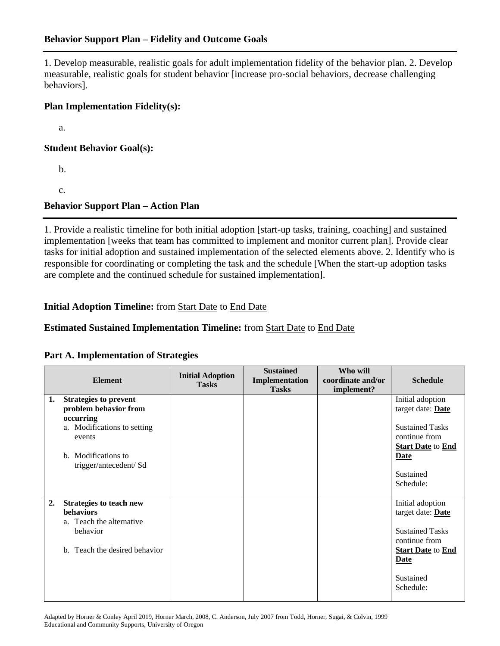## **Behavior Support Plan – Fidelity and Outcome Goals**

1. Develop measurable, realistic goals for adult implementation fidelity of the behavior plan. 2. Develop measurable, realistic goals for student behavior [increase pro-social behaviors, decrease challenging behaviors].

#### **Plan Implementation Fidelity(s):**

a.

#### **Student Behavior Goal(s):**

b.

c.

## **Behavior Support Plan – Action Plan**

1. Provide a realistic timeline for both initial adoption [start-up tasks, training, coaching] and sustained implementation [weeks that team has committed to implement and monitor current plan]. Provide clear tasks for initial adoption and sustained implementation of the selected elements above. 2. Identify who is responsible for coordinating or completing the task and the schedule [When the start-up adoption tasks are complete and the continued schedule for sustained implementation].

## **Initial Adoption Timeline:** from Start Date to End Date

## **Estimated Sustained Implementation Timeline:** from Start Date to End Date

#### **Part A. Implementation of Strategies**

|    | <b>Element</b>                                                                                                                                              | <b>Initial Adoption</b><br><b>Tasks</b> | <b>Sustained</b><br>Implementation<br><b>Tasks</b> | Who will<br>coordinate and/or<br>implement? | <b>Schedule</b>                                                                                                                                |
|----|-------------------------------------------------------------------------------------------------------------------------------------------------------------|-----------------------------------------|----------------------------------------------------|---------------------------------------------|------------------------------------------------------------------------------------------------------------------------------------------------|
| 1. | <b>Strategies to prevent</b><br>problem behavior from<br>occurring<br>a. Modifications to setting<br>events<br>b. Modifications to<br>trigger/antecedent/Sd |                                         |                                                    |                                             | Initial adoption<br>target date: Date<br><b>Sustained Tasks</b><br>continue from<br><b>Start Date to End</b><br>Date<br>Sustained<br>Schedule: |
| 2. | <b>Strategies to teach new</b><br>behaviors<br>a. Teach the alternative<br>behavior<br>b. Teach the desired behavior                                        |                                         |                                                    |                                             | Initial adoption<br>target date: Date<br><b>Sustained Tasks</b><br>continue from<br><b>Start Date to End</b><br>Date<br>Sustained<br>Schedule: |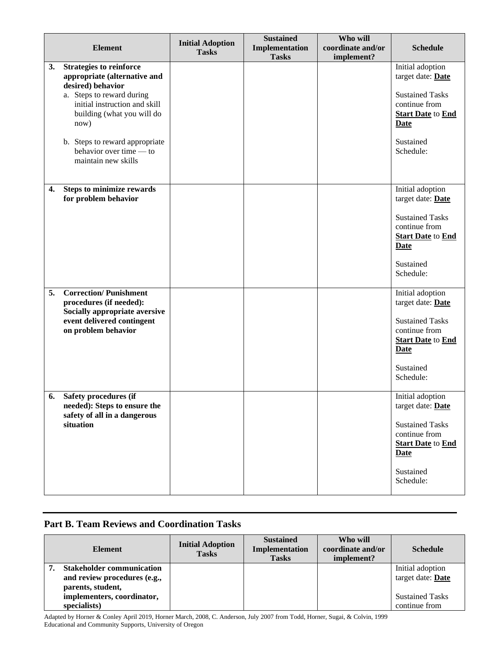|    | <b>Element</b>                                                                                                                                                                                                                                       | <b>Initial Adoption</b> | <b>Sustained</b><br>Implementation | Who will<br>coordinate and/or | <b>Schedule</b>                                                                                                                                              |
|----|------------------------------------------------------------------------------------------------------------------------------------------------------------------------------------------------------------------------------------------------------|-------------------------|------------------------------------|-------------------------------|--------------------------------------------------------------------------------------------------------------------------------------------------------------|
|    |                                                                                                                                                                                                                                                      | <b>Tasks</b>            | <b>Tasks</b>                       | implement?                    |                                                                                                                                                              |
| 3. | <b>Strategies to reinforce</b><br>appropriate (alternative and<br>desired) behavior<br>a. Steps to reward during<br>initial instruction and skill<br>building (what you will do<br>now)<br>b. Steps to reward appropriate<br>behavior over time — to |                         |                                    |                               | Initial adoption<br>target date: Date<br><b>Sustained Tasks</b><br>continue from<br><b>Start Date</b> to <b>End</b><br><b>Date</b><br>Sustained<br>Schedule: |
|    | maintain new skills                                                                                                                                                                                                                                  |                         |                                    |                               |                                                                                                                                                              |
| 4. | <b>Steps to minimize rewards</b><br>for problem behavior                                                                                                                                                                                             |                         |                                    |                               | Initial adoption<br>target date: Date<br><b>Sustained Tasks</b><br>continue from<br><b>Start Date</b> to <b>End</b><br><b>Date</b><br>Sustained<br>Schedule: |
| 5. | <b>Correction/Punishment</b><br>procedures (if needed):<br>Socially appropriate aversive<br>event delivered contingent<br>on problem behavior                                                                                                        |                         |                                    |                               | Initial adoption<br>target date: Date<br><b>Sustained Tasks</b><br>continue from<br><b>Start Date</b> to <b>End</b><br><b>Date</b><br>Sustained<br>Schedule: |
|    | 6. Safety procedures (if<br>needed): Steps to ensure the<br>safety of all in a dangerous<br>situation                                                                                                                                                |                         |                                    |                               | Initial adoption<br>target date: Date<br><b>Sustained Tasks</b><br>continue from<br><b>Start Date</b> to End<br><b>Date</b><br>Sustained<br>Schedule:        |

## **Part B. Team Reviews and Coordination Tasks**

| <b>Element</b>                                                                        | <b>Initial Adoption</b><br><b>Tasks</b> | <b>Sustained</b><br>Implementation<br><b>Tasks</b> | Who will<br>coordinate and/or<br>implement? | <b>Schedule</b>                         |
|---------------------------------------------------------------------------------------|-----------------------------------------|----------------------------------------------------|---------------------------------------------|-----------------------------------------|
| <b>Stakeholder communication</b><br>and review procedures (e.g.,<br>parents, student, |                                         |                                                    |                                             | Initial adoption<br>target date: Date   |
| implementers, coordinator,<br>specialists)                                            |                                         |                                                    |                                             | <b>Sustained Tasks</b><br>continue from |

Adapted by Horner & Conley April 2019, Horner March, 2008, C. Anderson, July 2007 from Todd, Horner, Sugai, & Colvin, 1999 Educational and Community Supports, University of Oregon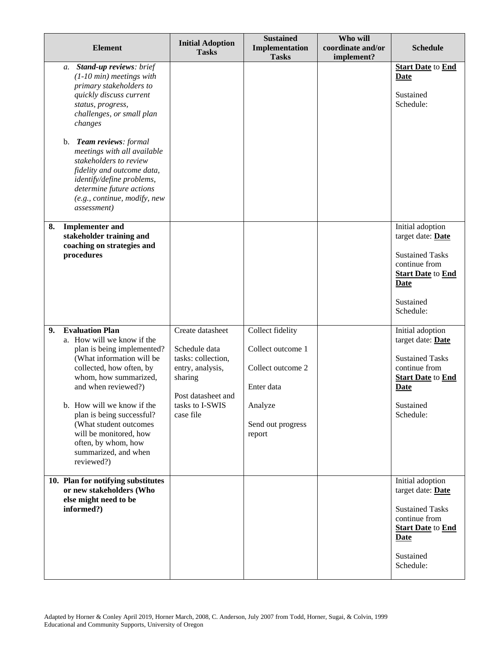| <b>Element</b>                                                                                        |                                                                                                                                                                                                                                                                                   | <b>Initial Adoption</b><br><b>Tasks</b>                                                                                                      | <b>Sustained</b><br>Implementation<br><b>Tasks</b>                                                                 | Who will<br>coordinate and/or<br>implement? | <b>Schedule</b>                                                                                                                                              |
|-------------------------------------------------------------------------------------------------------|-----------------------------------------------------------------------------------------------------------------------------------------------------------------------------------------------------------------------------------------------------------------------------------|----------------------------------------------------------------------------------------------------------------------------------------------|--------------------------------------------------------------------------------------------------------------------|---------------------------------------------|--------------------------------------------------------------------------------------------------------------------------------------------------------------|
| a.<br>status, progress,<br>changes                                                                    | Stand-up reviews: brief<br>$(1-10 \text{ min})$ meetings with<br>primary stakeholders to<br>quickly discuss current<br>challenges, or small plan                                                                                                                                  |                                                                                                                                              |                                                                                                                    |                                             | <b>Start Date</b> to <b>End</b><br><b>Date</b><br>Sustained<br>Schedule:                                                                                     |
| b. Team reviews: formal<br><i>assessment</i> )                                                        | meetings with all available<br>stakeholders to review<br>fidelity and outcome data,<br>identify/define problems,<br>determine future actions<br>(e.g., continue, modify, new                                                                                                      |                                                                                                                                              |                                                                                                                    |                                             |                                                                                                                                                              |
| 8.<br><b>Implementer and</b><br>stakeholder training and<br>coaching on strategies and<br>procedures  |                                                                                                                                                                                                                                                                                   |                                                                                                                                              |                                                                                                                    |                                             | Initial adoption<br>target date: Date<br><b>Sustained Tasks</b><br>continue from<br><b>Start Date</b> to <b>End</b><br><b>Date</b><br>Sustained<br>Schedule: |
| <b>Evaluation Plan</b><br>9.<br>and when reviewed?)<br>often, by whom, how<br>reviewed?)              | a. How will we know if the<br>plan is being implemented?<br>(What information will be<br>collected, how often, by<br>whom, how summarized,<br>b. How will we know if the<br>plan is being successful?<br>(What student outcomes<br>will be monitored, how<br>summarized, and when | Create datasheet<br>Schedule data<br>tasks: collection,<br>entry, analysis,<br>sharing<br>Post datasheet and<br>tasks to I-SWIS<br>case file | Collect fidelity<br>Collect outcome 1<br>Collect outcome 2<br>Enter data<br>Analyze<br>Send out progress<br>report |                                             | Initial adoption<br>target date: Date<br><b>Sustained Tasks</b><br>continue from<br><b>Start Date</b> to End<br><b>Date</b><br>Sustained<br>Schedule:        |
| 10. Plan for notifying substitutes<br>or new stakeholders (Who<br>else might need to be<br>informed?) |                                                                                                                                                                                                                                                                                   |                                                                                                                                              |                                                                                                                    |                                             | Initial adoption<br>target date: Date<br><b>Sustained Tasks</b><br>continue from<br><b>Start Date</b> to <b>End</b><br>Date<br>Sustained<br>Schedule:        |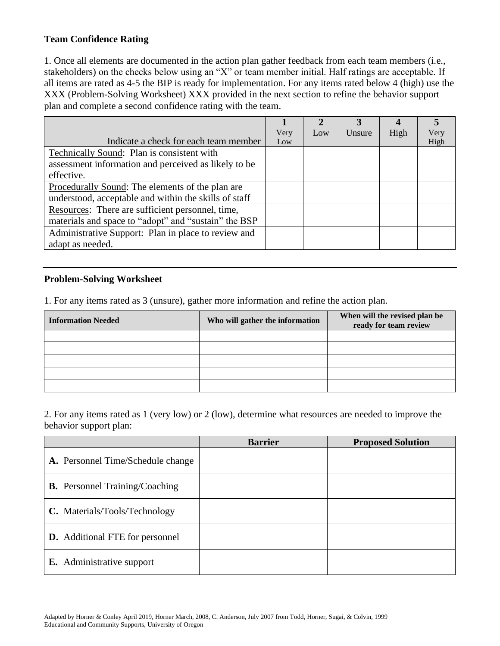## **Team Confidence Rating**

1. Once all elements are documented in the action plan gather feedback from each team members (i.e., stakeholders) on the checks below using an "X" or team member initial. Half ratings are acceptable. If all items are rated as 4-5 the BIP is ready for implementation. For any items rated below 4 (high) use the XXX (Problem-Solving Worksheet) XXX provided in the next section to refine the behavior support plan and complete a second confidence rating with the team.

|                                                         |      | $\mathbf 2$ |        |      |      |
|---------------------------------------------------------|------|-------------|--------|------|------|
|                                                         | Very | Low         | Unsure | High | Very |
| Indicate a check for each team member                   | Low  |             |        |      | High |
| Technically Sound: Plan is consistent with              |      |             |        |      |      |
| assessment information and perceived as likely to be    |      |             |        |      |      |
| effective.                                              |      |             |        |      |      |
| <u>Procedurally Sound:</u> The elements of the plan are |      |             |        |      |      |
| understood, acceptable and within the skills of staff   |      |             |        |      |      |
| Resources: There are sufficient personnel, time,        |      |             |        |      |      |
| materials and space to "adopt" and "sustain" the BSP    |      |             |        |      |      |
| Administrative Support: Plan in place to review and     |      |             |        |      |      |
| adapt as needed.                                        |      |             |        |      |      |

## **Problem-Solving Worksheet**

1. For any items rated as 3 (unsure), gather more information and refine the action plan.

| <b>Information Needed</b> | Who will gather the information | When will the revised plan be<br>ready for team review |
|---------------------------|---------------------------------|--------------------------------------------------------|
|                           |                                 |                                                        |
|                           |                                 |                                                        |
|                           |                                 |                                                        |
|                           |                                 |                                                        |
|                           |                                 |                                                        |

2. For any items rated as 1 (very low) or 2 (low), determine what resources are needed to improve the behavior support plan:

|                                        | <b>Barrier</b> | <b>Proposed Solution</b> |
|----------------------------------------|----------------|--------------------------|
| A. Personnel Time/Schedule change      |                |                          |
| <b>B.</b> Personnel Training/Coaching  |                |                          |
| C. Materials/Tools/Technology          |                |                          |
| <b>D.</b> Additional FTE for personnel |                |                          |
| <b>E.</b> Administrative support       |                |                          |